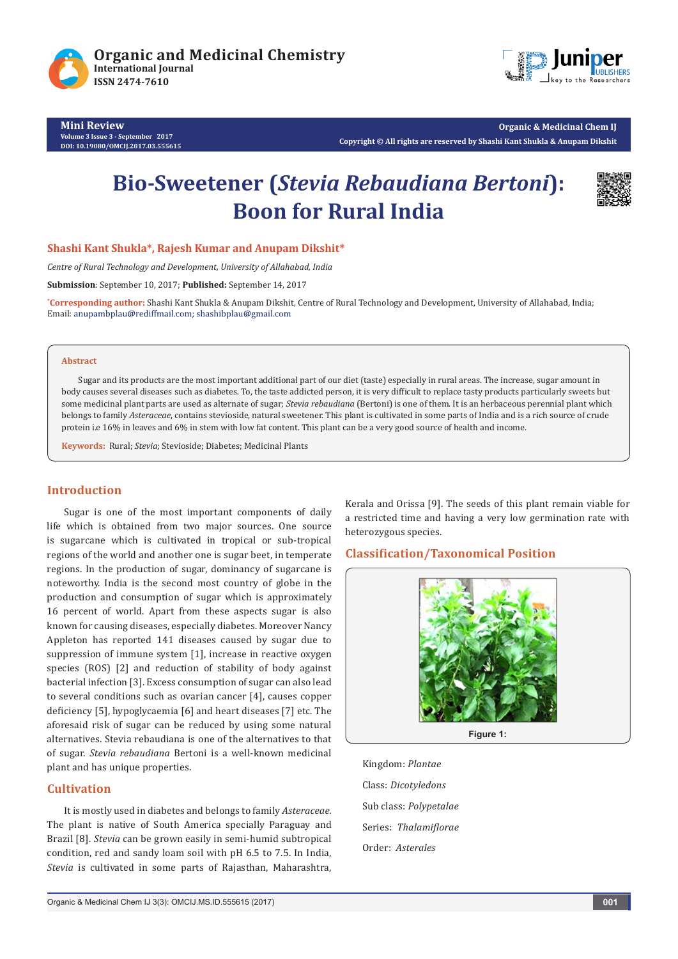





**Organic & Medicinal Chem IJ Copyright © All rights are reserved by Shashi Kant Shukla & Anupam Dikshit**

# **Bio-Sweetener (***Stevia Rebaudiana Bertoni***): Boon for Rural India**



**Shashi Kant Shukla\*, Rajesh Kumar and Anupam Dikshit\***

*Centre of Rural Technology and Development, University of Allahabad, India*

**Submission**: September 10, 2017; **Published:** September 14, 2017

**\* Corresponding author:** Shashi Kant Shukla & Anupam Dikshit, Centre of Rural Technology and Development, University of Allahabad, India; Email: anupambplau@rediffmail.com; shashibplau@gmail.com

#### **Abstract**

Sugar and its products are the most important additional part of our diet (taste) especially in rural areas. The increase, sugar amount in body causes several diseases such as diabetes. To, the taste addicted person, it is very difficult to replace tasty products particularly sweets but some medicinal plant parts are used as alternate of sugar; *Stevia rebaudiana* (Bertoni) is one of them. It is an herbaceous perennial plant which belongs to family *Asteraceae*, contains stevioside, natural sweetener. This plant is cultivated in some parts of India and is a rich source of crude protein i.e 16% in leaves and 6% in stem with low fat content. This plant can be a very good source of health and income.

**Keywords:** Rural; *Stevia*; Stevioside; Diabetes; Medicinal Plants

# **Introduction**

Sugar is one of the most important components of daily life which is obtained from two major sources. One source is sugarcane which is cultivated in tropical or sub-tropical regions of the world and another one is sugar beet, in temperate regions. In the production of sugar, dominancy of sugarcane is noteworthy. India is the second most country of globe in the production and consumption of sugar which is approximately 16 percent of world. Apart from these aspects sugar is also known for causing diseases, especially diabetes. Moreover Nancy Appleton has reported 141 diseases caused by sugar due to suppression of immune system [1], increase in reactive oxygen species (ROS) [2] and reduction of stability of body against bacterial infection [3]. Excess consumption of sugar can also lead to several conditions such as ovarian cancer [4], causes copper deficiency [5], hypoglycaemia [6] and heart diseases [7] etc. The aforesaid risk of sugar can be reduced by using some natural alternatives. Stevia rebaudiana is one of the alternatives to that of sugar. *Stevia rebaudiana* Bertoni is a well-known medicinal plant and has unique properties.

### **Cultivation**

It is mostly used in diabetes and belongs to family *Asteraceae.*  The plant is native of South America specially Paraguay and Brazil [8]. *Stevia* can be grown easily in semi-humid subtropical condition, red and sandy loam soil with pH 6.5 to 7.5. In India, *Stevia* is cultivated in some parts of Rajasthan, Maharashtra,

Kerala and Orissa [9]. The seeds of this plant remain viable for a restricted time and having a very low germination rate with heterozygous species.

# **Classification/Taxonomical Position**



**Figure 1:**

Kingdom: *Plantae* Class: *Dicotyledons* Sub class: *Polypetalae* Series: *Thalamiflorae* Order: *Asterales*